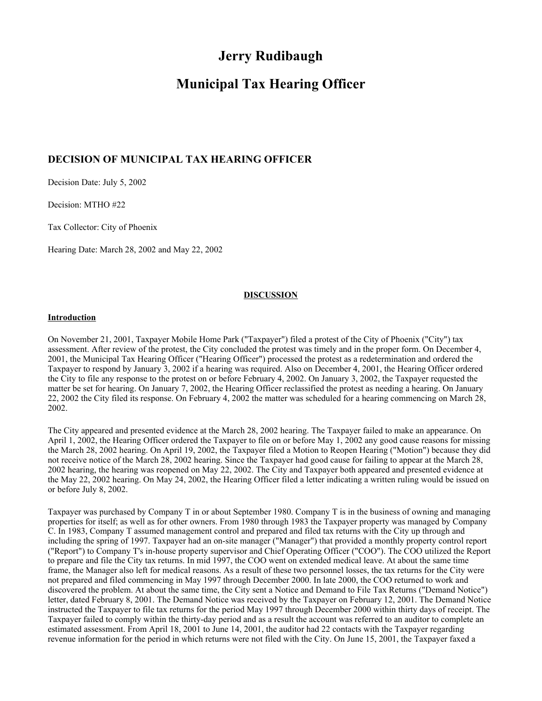# **Jerry Rudibaugh**

# **Municipal Tax Hearing Officer**

# **DECISION OF MUNICIPAL TAX HEARING OFFICER**

Decision Date: July 5, 2002

Decision: MTHO #22

Tax Collector: City of Phoenix

Hearing Date: March 28, 2002 and May 22, 2002

#### **DISCUSSION**

#### **Introduction**

On November 21, 2001, Taxpayer Mobile Home Park ("Taxpayer") filed a protest of the City of Phoenix ("City") tax assessment. After review of the protest, the City concluded the protest was timely and in the proper form. On December 4, 2001, the Municipal Tax Hearing Officer ("Hearing Officer") processed the protest as a redetermination and ordered the Taxpayer to respond by January 3, 2002 if a hearing was required. Also on December 4, 2001, the Hearing Officer ordered the City to file any response to the protest on or before February 4, 2002. On January 3, 2002, the Taxpayer requested the matter be set for hearing. On January 7, 2002, the Hearing Officer reclassified the protest as needing a hearing. On January 22, 2002 the City filed its response. On February 4, 2002 the matter was scheduled for a hearing commencing on March 28, 2002.

The City appeared and presented evidence at the March 28, 2002 hearing. The Taxpayer failed to make an appearance. On April 1, 2002, the Hearing Officer ordered the Taxpayer to file on or before May 1, 2002 any good cause reasons for missing the March 28, 2002 hearing. On April 19, 2002, the Taxpayer filed a Motion to Reopen Hearing ("Motion") because they did not receive notice of the March 28, 2002 hearing. Since the Taxpayer had good cause for failing to appear at the March 28, 2002 hearing, the hearing was reopened on May 22, 2002. The City and Taxpayer both appeared and presented evidence at the May 22, 2002 hearing. On May 24, 2002, the Hearing Officer filed a letter indicating a written ruling would be issued on or before July 8, 2002.

Taxpayer was purchased by Company T in or about September 1980. Company T is in the business of owning and managing properties for itself; as well as for other owners. From 1980 through 1983 the Taxpayer property was managed by Company C. In 1983, Company T assumed management control and prepared and filed tax returns with the City up through and including the spring of 1997. Taxpayer had an on-site manager ("Manager") that provided a monthly property control report ("Report") to Company T's in-house property supervisor and Chief Operating Officer ("COO"). The COO utilized the Report to prepare and file the City tax returns. In mid 1997, the COO went on extended medical leave. At about the same time frame, the Manager also left for medical reasons. As a result of these two personnel losses, the tax returns for the City were not prepared and filed commencing in May 1997 through December 2000. In late 2000, the COO returned to work and discovered the problem. At about the same time, the City sent a Notice and Demand to File Tax Returns ("Demand Notice") letter, dated February 8, 2001. The Demand Notice was received by the Taxpayer on February 12, 2001. The Demand Notice instructed the Taxpayer to file tax returns for the period May 1997 through December 2000 within thirty days of receipt. The Taxpayer failed to comply within the thirty-day period and as a result the account was referred to an auditor to complete an estimated assessment. From April 18, 2001 to June 14, 2001, the auditor had 22 contacts with the Taxpayer regarding revenue information for the period in which returns were not filed with the City. On June 15, 2001, the Taxpayer faxed a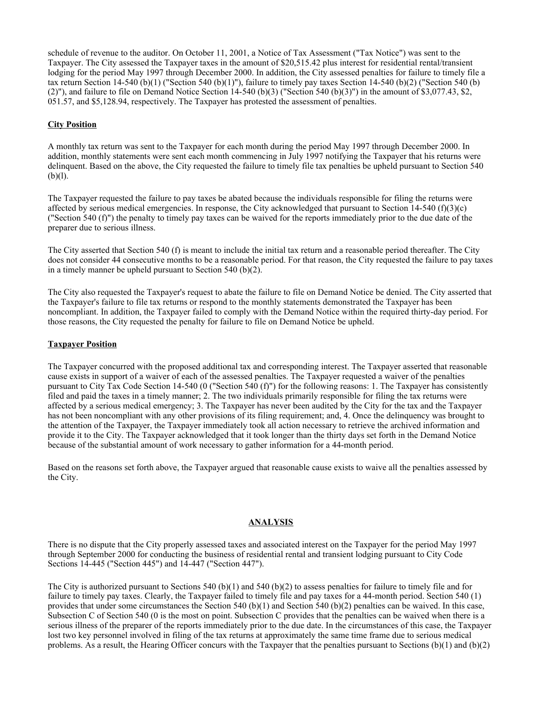schedule of revenue to the auditor. On October 11, 2001, a Notice of Tax Assessment ("Tax Notice") was sent to the Taxpayer. The City assessed the Taxpayer taxes in the amount of \$20,515.42 plus interest for residential rental/transient lodging for the period May 1997 through December 2000. In addition, the City assessed penalties for failure to timely file a tax return Section 14-540 (b)(1) ("Section 540 (b)(1)"), failure to timely pay taxes Section 14-540 (b)(2) ("Section 540 (b) (2)"), and failure to file on Demand Notice Section 14-540 (b)(3) ("Section 540 (b)(3)") in the amount of \$3,077.43, \$2, 051.57, and \$5,128.94, respectively. The Taxpayer has protested the assessment of penalties.

# **City Position**

A monthly tax return was sent to the Taxpayer for each month during the period May 1997 through December 2000. In addition, monthly statements were sent each month commencing in July 1997 notifying the Taxpayer that his returns were delinquent. Based on the above, the City requested the failure to timely file tax penalties be upheld pursuant to Section 540  $(b)(l)$ .

The Taxpayer requested the failure to pay taxes be abated because the individuals responsible for filing the returns were affected by serious medical emergencies. In response, the City acknowledged that pursuant to Section 14-540 (f)(3)(c) ("Section 540 (f)") the penalty to timely pay taxes can be waived for the reports immediately prior to the due date of the preparer due to serious illness.

The City asserted that Section 540 (f) is meant to include the initial tax return and a reasonable period thereafter. The City does not consider 44 consecutive months to be a reasonable period. For that reason, the City requested the failure to pay taxes in a timely manner be upheld pursuant to Section 540 (b)(2).

The City also requested the Taxpayer's request to abate the failure to file on Demand Notice be denied. The City asserted that the Taxpayer's failure to file tax returns or respond to the monthly statements demonstrated the Taxpayer has been noncompliant. In addition, the Taxpayer failed to comply with the Demand Notice within the required thirty-day period. For those reasons, the City requested the penalty for failure to file on Demand Notice be upheld.

#### **Taxpayer Position**

The Taxpayer concurred with the proposed additional tax and corresponding interest. The Taxpayer asserted that reasonable cause exists in support of a waiver of each of the assessed penalties. The Taxpayer requested a waiver of the penalties pursuant to City Tax Code Section 14-540 (0 ("Section 540 (f)") for the following reasons: 1. The Taxpayer has consistently filed and paid the taxes in a timely manner; 2. The two individuals primarily responsible for filing the tax returns were affected by a serious medical emergency; 3. The Taxpayer has never been audited by the City for the tax and the Taxpayer has not been noncompliant with any other provisions of its filing requirement; and, 4. Once the delinquency was brought to the attention of the Taxpayer, the Taxpayer immediately took all action necessary to retrieve the archived information and provide it to the City. The Taxpayer acknowledged that it took longer than the thirty days set forth in the Demand Notice because of the substantial amount of work necessary to gather information for a 44-month period.

Based on the reasons set forth above, the Taxpayer argued that reasonable cause exists to waive all the penalties assessed by the City.

### **ANALYSIS**

There is no dispute that the City properly assessed taxes and associated interest on the Taxpayer for the period May 1997 through September 2000 for conducting the business of residential rental and transient lodging pursuant to City Code Sections 14-445 ("Section 445") and 14-447 ("Section 447").

The City is authorized pursuant to Sections 540 (b)(1) and 540 (b)(2) to assess penalties for failure to timely file and for failure to timely pay taxes. Clearly, the Taxpayer failed to timely file and pay taxes for a 44-month period. Section 540 (1) provides that under some circumstances the Section 540 (b)(1) and Section 540 (b)(2) penalties can be waived. In this case, Subsection C of Section 540 (0 is the most on point. Subsection C provides that the penalties can be waived when there is a serious illness of the preparer of the reports immediately prior to the due date. In the circumstances of this case, the Taxpayer lost two key personnel involved in filing of the tax returns at approximately the same time frame due to serious medical problems. As a result, the Hearing Officer concurs with the Taxpayer that the penalties pursuant to Sections  $(b)(1)$  and  $(b)(2)$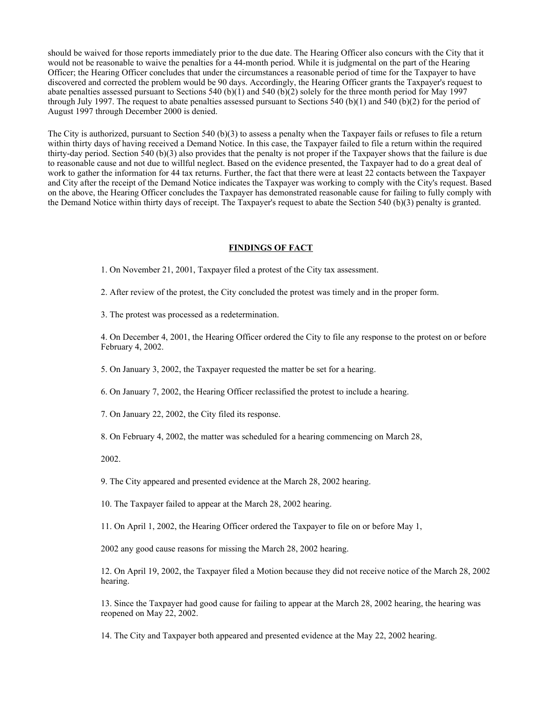should be waived for those reports immediately prior to the due date. The Hearing Officer also concurs with the City that it would not be reasonable to waive the penalties for a 44-month period. While it is judgmental on the part of the Hearing Officer; the Hearing Officer concludes that under the circumstances a reasonable period of time for the Taxpayer to have discovered and corrected the problem would be 90 days. Accordingly, the Hearing Officer grants the Taxpayer's request to abate penalties assessed pursuant to Sections 540 (b)(1) and 540 (b)(2) solely for the three month period for May 1997 through July 1997. The request to abate penalties assessed pursuant to Sections 540 (b)(1) and 540 (b)(2) for the period of August 1997 through December 2000 is denied.

The City is authorized, pursuant to Section 540 (b)(3) to assess a penalty when the Taxpayer fails or refuses to file a return within thirty days of having received a Demand Notice. In this case, the Taxpayer failed to file a return within the required thirty-day period. Section 540 (b)(3) also provides that the penalty is not proper if the Taxpayer shows that the failure is due to reasonable cause and not due to willful neglect. Based on the evidence presented, the Taxpayer had to do a great deal of work to gather the information for 44 tax returns. Further, the fact that there were at least 22 contacts between the Taxpayer and City after the receipt of the Demand Notice indicates the Taxpayer was working to comply with the City's request. Based on the above, the Hearing Officer concludes the Taxpayer has demonstrated reasonable cause for failing to fully comply with the Demand Notice within thirty days of receipt. The Taxpayer's request to abate the Section 540 (b)(3) penalty is granted.

#### **FINDINGS OF FACT**

1. On November 21, 2001, Taxpayer filed a protest of the City tax assessment.

2. After review of the protest, the City concluded the protest was timely and in the proper form.

3. The protest was processed as a redetermination.

4. On December 4, 2001, the Hearing Officer ordered the City to file any response to the protest on or before February 4, 2002.

5. On January 3, 2002, the Taxpayer requested the matter be set for a hearing.

6. On January 7, 2002, the Hearing Officer reclassified the protest to include a hearing.

7. On January 22, 2002, the City filed its response.

8. On February 4, 2002, the matter was scheduled for a hearing commencing on March 28,

2002.

9. The City appeared and presented evidence at the March 28, 2002 hearing.

10. The Taxpayer failed to appear at the March 28, 2002 hearing.

11. On April 1, 2002, the Hearing Officer ordered the Taxpayer to file on or before May 1,

2002 any good cause reasons for missing the March 28, 2002 hearing.

12. On April 19, 2002, the Taxpayer filed a Motion because they did not receive notice of the March 28, 2002 hearing.

13. Since the Taxpayer had good cause for failing to appear at the March 28, 2002 hearing, the hearing was reopened on May 22, 2002.

14. The City and Taxpayer both appeared and presented evidence at the May 22, 2002 hearing.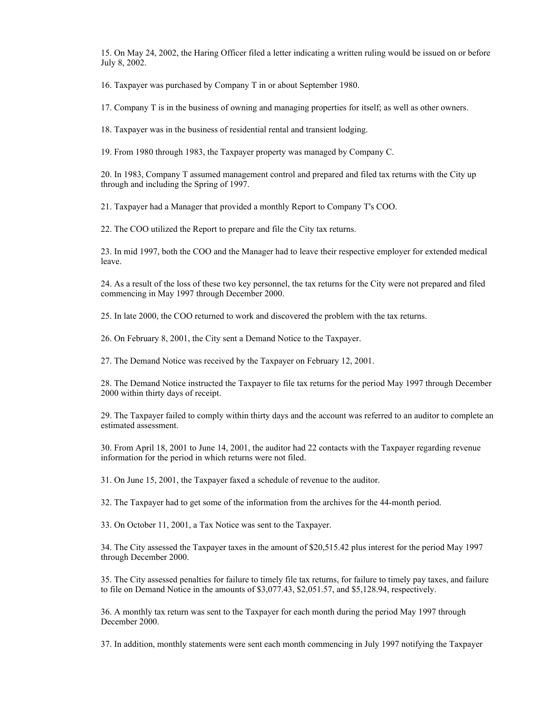15. On May 24, 2002, the Haring Officer filed a letter indicating a written ruling would be issued on or before July 8, 2002.

16. Taxpayer was purchased by Company T in or about September 1980.

17. Company T is in the business of owning and managing properties for itself; as well as other owners.

18. Taxpayer was in the business of residential rental and transient lodging.

19. From 1980 through 1983, the Taxpayer property was managed by Company C.

20. In 1983, Company T assumed management control and prepared and filed tax returns with the City up through and including the Spring of 1997.

21. Taxpayer had a Manager that provided a monthly Report to Company T's COO.

22. The COO utilized the Report to prepare and file the City tax returns.

23. In mid 1997, both the COO and the Manager had to leave their respective employer for extended medical leave.

24. As a result of the loss of these two key personnel, the tax returns for the City were not prepared and filed commencing in May 1997 through December 2000.

25. In late 2000, the COO returned to work and discovered the problem with the tax returns.

26. On February 8, 2001, the City sent a Demand Notice to the Taxpayer.

27. The Demand Notice was received by the Taxpayer on February 12, 2001.

28. The Demand Notice instructed the Taxpayer to file tax returns for the period May 1997 through December 2000 within thirty days of receipt.

29. The Taxpayer failed to comply within thirty days and the account was referred to an auditor to complete an estimated assessment.

30. From April 18, 2001 to June 14, 2001, the auditor had 22 contacts with the Taxpayer regarding revenue information for the period in which returns were not filed.

31. On June 15, 2001, the Taxpayer faxed a schedule of revenue to the auditor.

32. The Taxpayer had to get some of the information from the archives for the 44-month period.

33. On October 11, 2001, a Tax Notice was sent to the Taxpayer.

34. The City assessed the Taxpayer taxes in the amount of \$20,515.42 plus interest for the period May 1997 through December 2000.

35. The City assessed penalties for failure to timely file tax returns, for failure to timely pay taxes, and failure to file on Demand Notice in the amounts of \$3,077.43, \$2,051.57, and \$5,128.94, respectively.

36. A monthly tax return was sent to the Taxpayer for each month during the period May 1997 through December 2000.

37. In addition, monthly statements were sent each month commencing in July 1997 notifying the Taxpayer